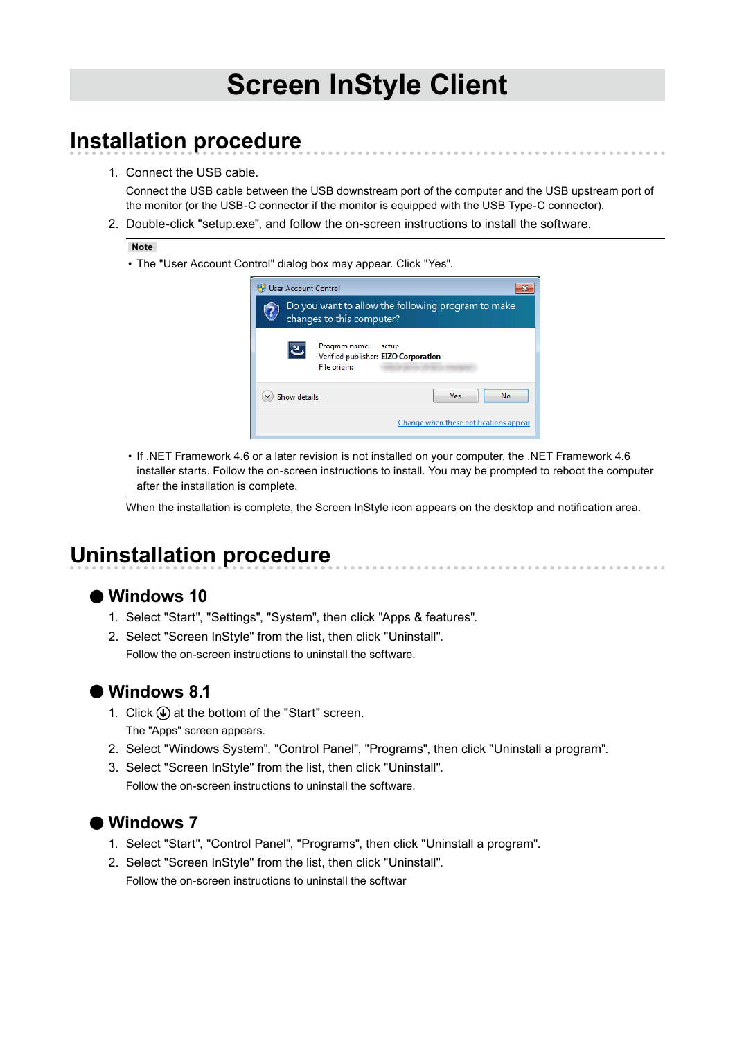# **Screen InStyle Client**

### **Installation procedure**

1. Connect the USB cable.

Connect the USB cable between the USB downstream port of the computer and the USB upstream port of the monitor (or the USB-C connector if the monitor is equipped with the USB Type-C connector).

2. Double-click "setup.exe", and follow the on-screen instructions to install the software.

#### **Note**

• The "User Account Control" dialog box may appear. Click "Yes".



• If .NET Framework 4.6 or a later revision is not installed on your computer, the .NET Framework 4.6 installer starts. Follow the on-screen instructions to install. You may be prompted to reboot the computer after the installation is complete.

When the installation is complete, the Screen InStyle icon appears on the desktop and notification area.

### **Uninstallation procedure**

#### **●Windows 10**

- 1. Select "Start", "Settings", "System", then click "Apps & features".
- 2. Select "Screen InStyle" from the list, then click "Uninstall". Follow the on-screen instructions to uninstall the software.

### **●Windows 8.1**

- 1. Click  $\circledast$  at the bottom of the "Start" screen. The "Apps" screen appears.
- 2. Select "Windows System", "Control Panel", "Programs", then click "Uninstall a program".
- 3. Select "Screen InStyle" from the list, then click "Uninstall". Follow the on-screen instructions to uninstall the software.

### **●Windows 7**

- 1. Select "Start", "Control Panel", "Programs", then click "Uninstall a program".
- 2. Select "Screen InStyle" from the list, then click "Uninstall". Follow the on-screen instructions to uninstall the softwar